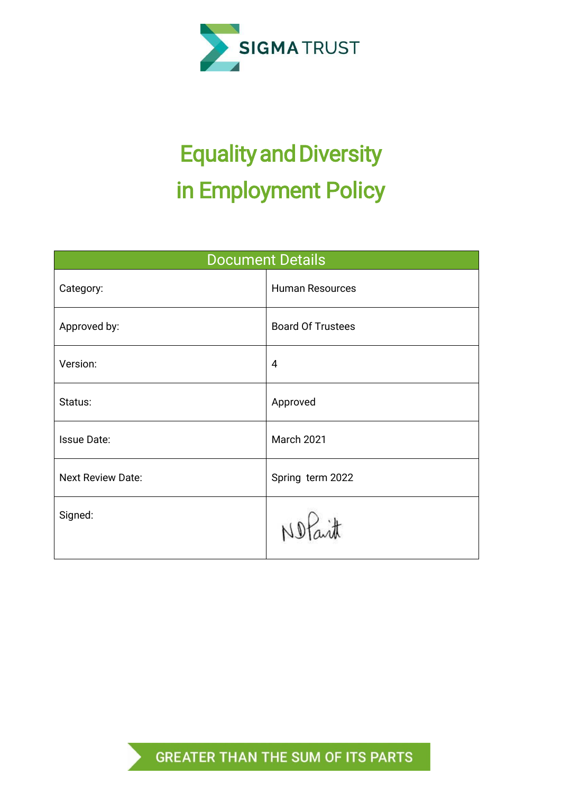

# Equality and Diversity in Employment Policy

| <b>Document Details</b>  |                          |  |  |  |
|--------------------------|--------------------------|--|--|--|
| Category:                | <b>Human Resources</b>   |  |  |  |
| Approved by:             | <b>Board Of Trustees</b> |  |  |  |
| Version:                 | $\overline{4}$           |  |  |  |
| Status:                  | Approved                 |  |  |  |
| <b>Issue Date:</b>       | March 2021               |  |  |  |
| <b>Next Review Date:</b> | Spring term 2022         |  |  |  |
| Signed:                  | 冰<br>NDF                 |  |  |  |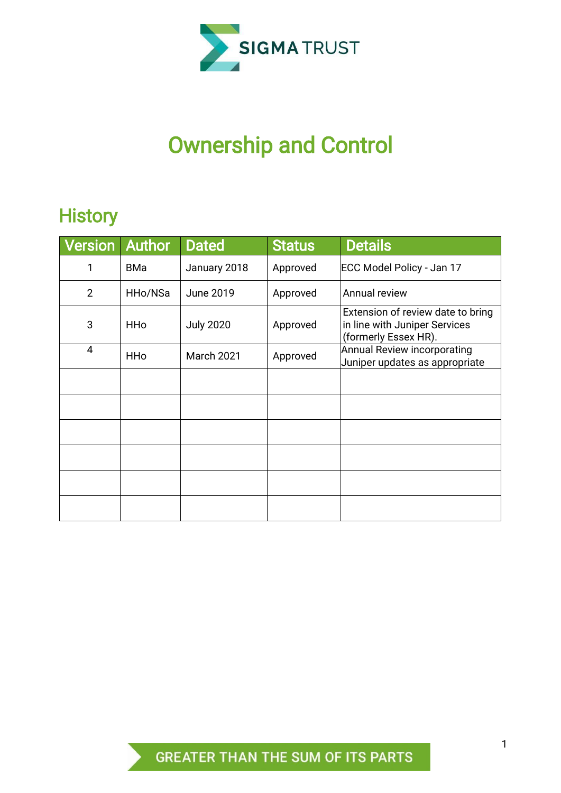

# Ownership and Control

# **History**

| <b>Version</b> | <b>Author</b> | <b>Dated</b>      | <b>Status</b> | <b>Details</b>                                                                             |
|----------------|---------------|-------------------|---------------|--------------------------------------------------------------------------------------------|
| 1              | <b>BMa</b>    | January 2018      | Approved      | ECC Model Policy - Jan 17                                                                  |
| $\overline{2}$ | HHo/NSa       | <b>June 2019</b>  | Approved      | Annual review                                                                              |
| 3              | <b>HHo</b>    | <b>July 2020</b>  | Approved      | Extension of review date to bring<br>in line with Juniper Services<br>(formerly Essex HR). |
| 4              | <b>HHo</b>    | <b>March 2021</b> | Approved      | <b>Annual Review incorporating</b><br>Juniper updates as appropriate                       |
|                |               |                   |               |                                                                                            |
|                |               |                   |               |                                                                                            |
|                |               |                   |               |                                                                                            |
|                |               |                   |               |                                                                                            |
|                |               |                   |               |                                                                                            |
|                |               |                   |               |                                                                                            |

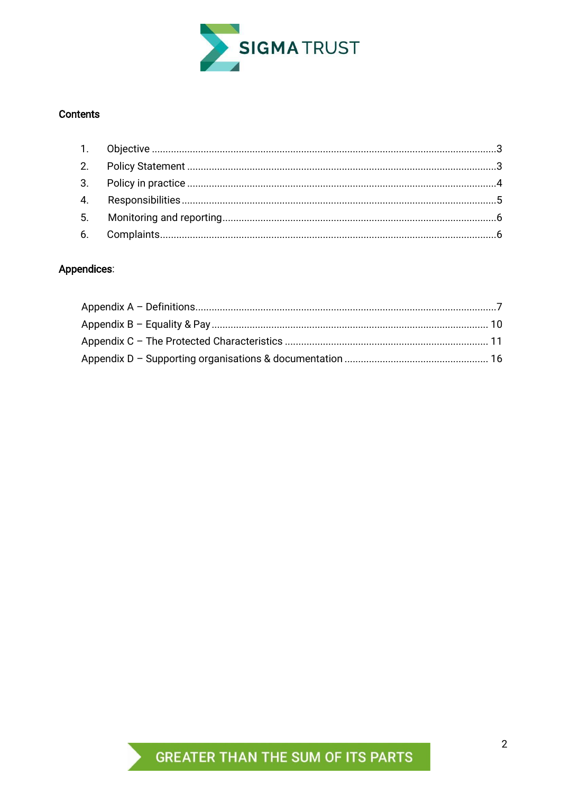

## Contents

# Appendices:

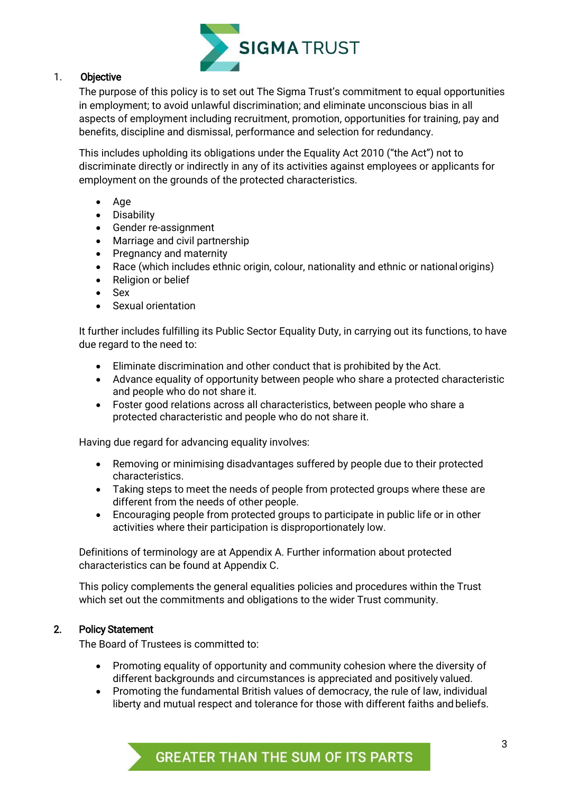

# <span id="page-3-0"></span>1. Objective

The purpose of this policy is to set out The Sigma Trust's commitment to equal opportunities in employment; to avoid unlawful discrimination; and eliminate unconscious bias in all aspects of employment including recruitment, promotion, opportunities for training, pay and benefits, discipline and dismissal, performance and selection for redundancy.

This includes upholding its obligations under the Equality Act 2010 ("the Act") not to discriminate directly or indirectly in any of its activities against employees or applicants for employment on the grounds of the protected characteristics.

- Age
- Disability
- Gender re-assignment
- Marriage and civil partnership
- Pregnancy and maternity
- Race (which includes ethnic origin, colour, nationality and ethnic or nationalorigins)
- Religion or belief
- Sex
- Sexual orientation

It further includes fulfilling its Public Sector Equality Duty, in carrying out its functions, to have due regard to the need to:

- Eliminate discrimination and other conduct that is prohibited by the Act.
- Advance equality of opportunity between people who share a protected characteristic and people who do not share it.
- Foster good relations across all characteristics, between people who share a protected characteristic and people who do not share it.

Having due regard for advancing equality involves:

- Removing or minimising disadvantages suffered by people due to their protected characteristics.
- Taking steps to meet the needs of people from protected groups where these are different from the needs of other people.
- Encouraging people from protected groups to participate in public life or in other activities where their participation is disproportionately low.

Definitions of terminology are at Appendix A. Further information about protected characteristics can be found at Appendix C.

This policy complements the general equalities policies and procedures within the Trust which set out the commitments and obligations to the wider Trust community.

# <span id="page-3-1"></span>2. Policy Statement

The Board of Trustees is committed to:

- Promoting equality of opportunity and community cohesion where the diversity of different backgrounds and circumstances is appreciated and positively valued.
- Promoting the fundamental British values of democracy, the rule of law, individual liberty and mutual respect and tolerance for those with different faiths and beliefs.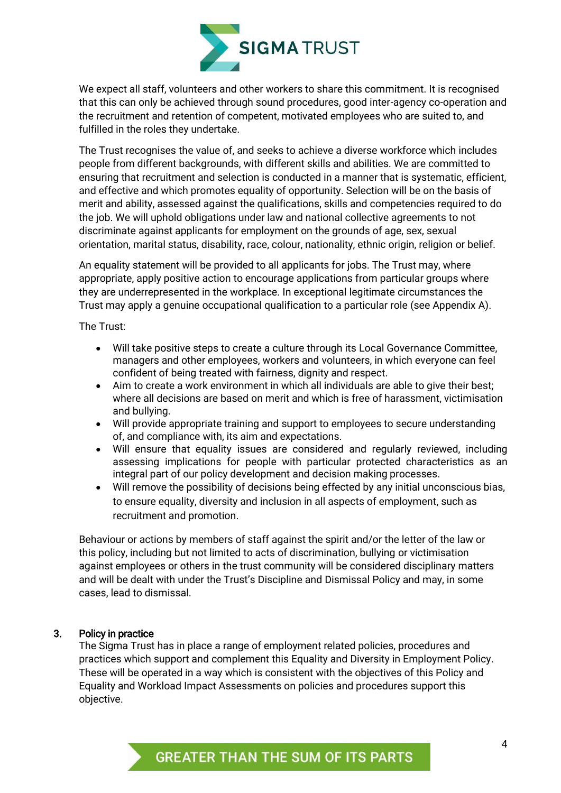

We expect all staff, volunteers and other workers to share this commitment. It is recognised that this can only be achieved through sound procedures, good inter-agency co-operation and the recruitment and retention of competent, motivated employees who are suited to, and fulfilled in the roles they undertake.

The Trust recognises the value of, and seeks to achieve a diverse workforce which includes people from different backgrounds, with different skills and abilities. We are committed to ensuring that recruitment and selection is conducted in a manner that is systematic, efficient, and effective and which promotes equality of opportunity. Selection will be on the basis of merit and ability, assessed against the qualifications, skills and competencies required to do the job. We will uphold obligations under law and national collective agreements to not discriminate against applicants for employment on the grounds of age, sex, sexual orientation, marital status, disability, race, colour, nationality, ethnic origin, religion or belief.

An equality statement will be provided to all applicants for jobs. The Trust may, where appropriate, apply positive action to encourage applications from particular groups where they are underrepresented in the workplace. In exceptional legitimate circumstances the Trust may apply a genuine occupational qualification to a particular role (see Appendix A).

The Trust:

- Will take positive steps to create a culture through its Local Governance Committee, managers and other employees, workers and volunteers, in which everyone can feel confident of being treated with fairness, dignity and respect.
- Aim to create a work environment in which all individuals are able to give their best; where all decisions are based on merit and which is free of harassment, victimisation and bullying.
- Will provide appropriate training and support to employees to secure understanding of, and compliance with, its aim and expectations.
- Will ensure that equality issues are considered and regularly reviewed, including assessing implications for people with particular protected characteristics as an integral part of our policy development and decision making processes.
- Will remove the possibility of decisions being effected by any initial unconscious bias, to ensure equality, diversity and inclusion in all aspects of employment, such as recruitment and promotion.

Behaviour or actions by members of staff against the spirit and/or the letter of the law or this policy, including but not limited to acts of discrimination, bullying or victimisation against employees or others in the trust community will be considered disciplinary matters and will be dealt with under the Trust's Discipline and Dismissal Policy and may, in some cases, lead to dismissal.

# <span id="page-4-0"></span>3. Policy in practice

The Sigma Trust has in place a range of employment related policies, procedures and practices which support and complement this Equality and Diversity in Employment Policy. These will be operated in a way which is consistent with the objectives of this Policy and Equality and Workload Impact Assessments on policies and procedures support this objective.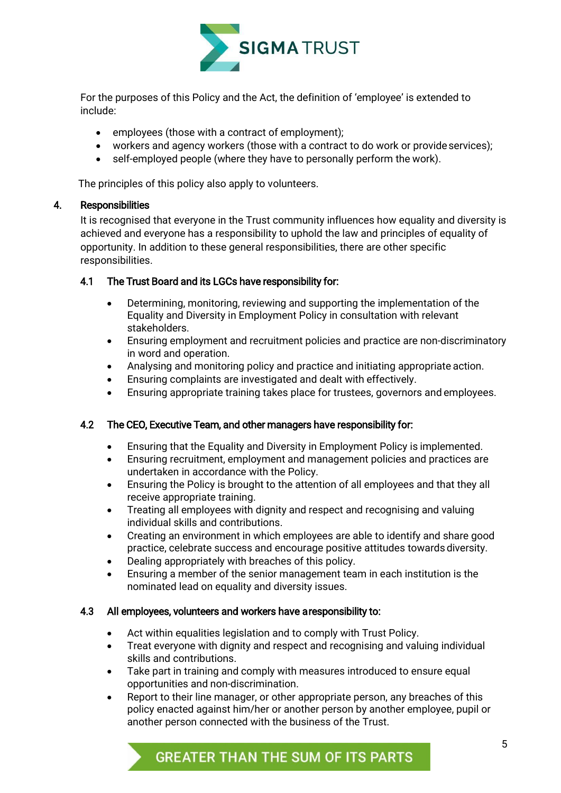

For the purposes of this Policy and the Act, the definition of 'employee' is extended to include:

- employees (those with a contract of employment);
- workers and agency workers (those with a contract to do work or provide services);
- self-employed people (where they have to personally perform the work).

The principles of this policy also apply to volunteers.

# <span id="page-5-0"></span>4. Responsibilities

It is recognised that everyone in the Trust community influences how equality and diversity is achieved and everyone has a responsibility to uphold the law and principles of equality of opportunity. In addition to these general responsibilities, there are other specific responsibilities.

# 4.1 The Trust Board and its LGCs have responsibility for:

- Determining, monitoring, reviewing and supporting the implementation of the Equality and Diversity in Employment Policy in consultation with relevant stakeholders.
- Ensuring employment and recruitment policies and practice are non-discriminatory in word and operation.
- Analysing and monitoring policy and practice and initiating appropriate action.
- Ensuring complaints are investigated and dealt with effectively.
- Ensuring appropriate training takes place for trustees, governors and employees.

# 4.2 The CEO, Executive Team, and other managers have responsibility for:

- Ensuring that the Equality and Diversity in Employment Policy is implemented.
- Ensuring recruitment, employment and management policies and practices are undertaken in accordance with the Policy.
- Ensuring the Policy is brought to the attention of all employees and that they all receive appropriate training.
- Treating all employees with dignity and respect and recognising and valuing individual skills and contributions.
- Creating an environment in which employees are able to identify and share good practice, celebrate success and encourage positive attitudes towards diversity.
- Dealing appropriately with breaches of this policy.
- Ensuring a member of the senior management team in each institution is the nominated lead on equality and diversity issues.

# 4.3 All employees, volunteers and workers have a responsibility to:

- Act within equalities legislation and to comply with Trust Policy.
- Treat everyone with dignity and respect and recognising and valuing individual skills and contributions.
- Take part in training and comply with measures introduced to ensure equal opportunities and non-discrimination.
- Report to their line manager, or other appropriate person, any breaches of this policy enacted against him/her or another person by another employee, pupil or another person connected with the business of the Trust.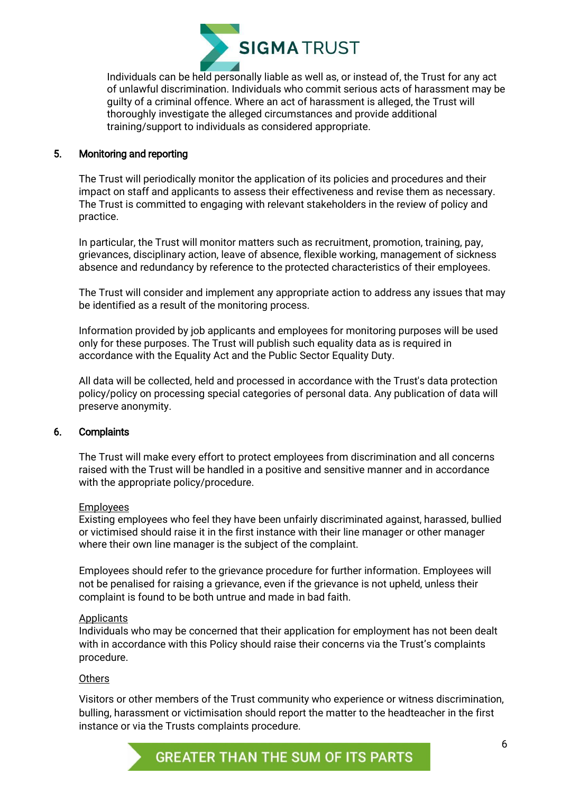

Individuals can be held personally liable as well as, or instead of, the Trust for any act of unlawful discrimination. Individuals who commit serious acts of harassment may be guilty of a criminal offence. Where an act of harassment is alleged, the Trust will thoroughly investigate the alleged circumstances and provide additional training/support to individuals as considered appropriate.

#### <span id="page-6-0"></span>5. Monitoring and reporting

The Trust will periodically monitor the application of its policies and procedures and their impact on staff and applicants to assess their effectiveness and revise them as necessary. The Trust is committed to engaging with relevant stakeholders in the review of policy and practice.

In particular, the Trust will monitor matters such as recruitment, promotion, training, pay, grievances, disciplinary action, leave of absence, flexible working, management of sickness absence and redundancy by reference to the protected characteristics of their employees.

The Trust will consider and implement any appropriate action to address any issues that may be identified as a result of the monitoring process.

Information provided by job applicants and employees for monitoring purposes will be used only for these purposes. The Trust will publish such equality data as is required in accordance with the Equality Act and the Public Sector Equality Duty.

All data will be collected, held and processed in accordance with the Trust's data protection policy/policy on processing special categories of personal data. Any publication of data will preserve anonymity.

#### <span id="page-6-1"></span>6. Complaints

The Trust will make every effort to protect employees from discrimination and all concerns raised with the Trust will be handled in a positive and sensitive manner and in accordance with the appropriate policy/procedure.

#### Employees

Existing employees who feel they have been unfairly discriminated against, harassed, bullied or victimised should raise it in the first instance with their line manager or other manager where their own line manager is the subject of the complaint.

Employees should refer to the grievance procedure for further information. Employees will not be penalised for raising a grievance, even if the grievance is not upheld, unless their complaint is found to be both untrue and made in bad faith.

#### **Applicants**

<span id="page-6-2"></span>Individuals who may be concerned that their application for employment has not been dealt with in accordance with this Policy should raise their concerns via the Trust's complaints procedure.

#### **Others**

Visitors or other members of the Trust community who experience or witness discrimination, bulling, harassment or victimisation should report the matter to the headteacher in the first instance or via the Trusts complaints procedure.

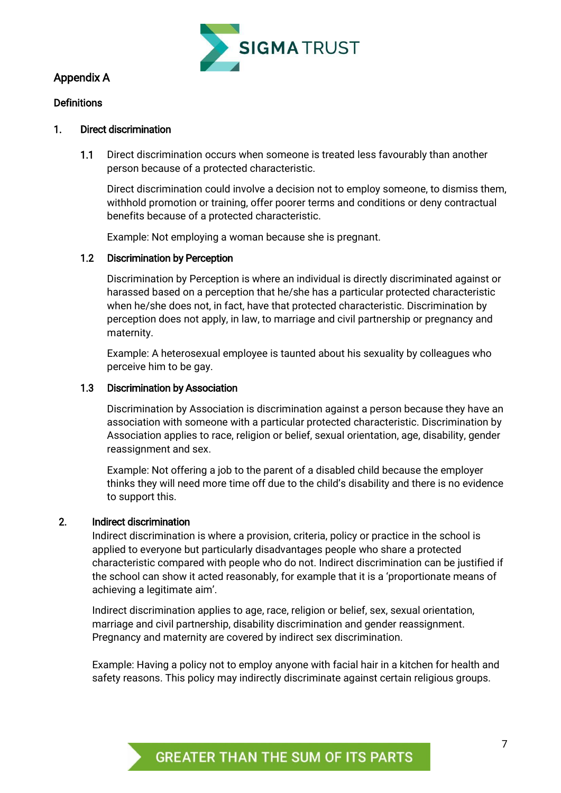

# Appendix A

#### **Definitions**

#### 1. Direct discrimination

1.1 Direct discrimination occurs when someone is treated less favourably than another person because of a protected characteristic.

Direct discrimination could involve a decision not to employ someone, to dismiss them, withhold promotion or training, offer poorer terms and conditions or deny contractual benefits because of a protected characteristic.

Example: Not employing a woman because she is pregnant.

# 1.2 Discrimination by Perception

Discrimination by Perception is where an individual is directly discriminated against or harassed based on a perception that he/she has a particular protected characteristic when he/she does not, in fact, have that protected characteristic. Discrimination by perception does not apply, in law, to marriage and civil partnership or pregnancy and maternity.

Example: A heterosexual employee is taunted about his sexuality by colleagues who perceive him to be gay.

#### 1.3 Discrimination by Association

Discrimination by Association is discrimination against a person because they have an association with someone with a particular protected characteristic. Discrimination by Association applies to race, religion or belief, sexual orientation, age, disability, gender reassignment and sex.

Example: Not offering a job to the parent of a disabled child because the employer thinks they will need more time off due to the child's disability and there is no evidence to support this.

#### 2. Indirect discrimination

Indirect discrimination is where a provision, criteria, policy or practice in the school is applied to everyone but particularly disadvantages people who share a protected characteristic compared with people who do not. Indirect discrimination can be justified if the school can show it acted reasonably, for example that it is a 'proportionate means of achieving a legitimate aim'.

Indirect discrimination applies to age, race, religion or belief, sex, sexual orientation, marriage and civil partnership, disability discrimination and gender reassignment. Pregnancy and maternity are covered by indirect sex discrimination.

Example: Having a policy not to employ anyone with facial hair in a kitchen for health and safety reasons. This policy may indirectly discriminate against certain religious groups.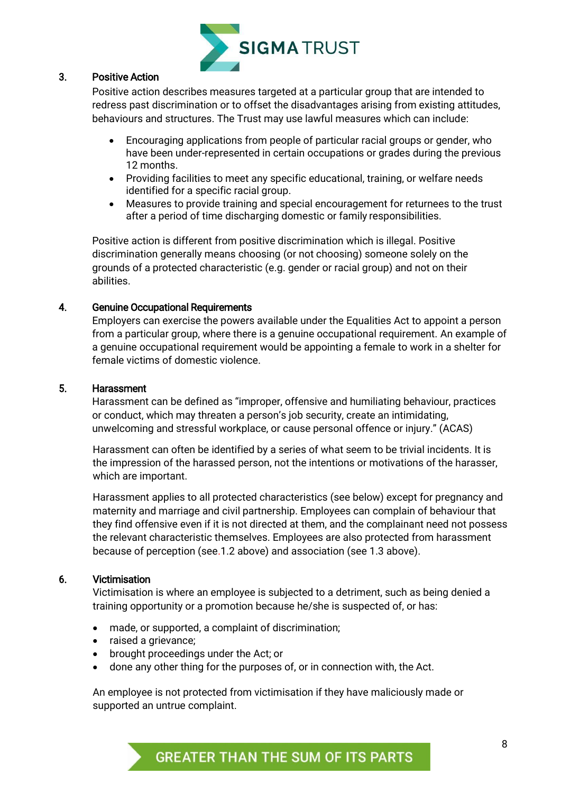

## 3. Positive Action

Positive action describes measures targeted at a particular group that are intended to redress past discrimination or to offset the disadvantages arising from existing attitudes, behaviours and structures. The Trust may use lawful measures which can include:

- Encouraging applications from people of particular racial groups or gender, who have been under-represented in certain occupations or grades during the previous 12 months.
- Providing facilities to meet any specific educational, training, or welfare needs identified for a specific racial group.
- Measures to provide training and special encouragement for returnees to the trust after a period of time discharging domestic or family responsibilities.

Positive action is different from positive discrimination which is illegal. Positive discrimination generally means choosing (or not choosing) someone solely on the grounds of a protected characteristic (e.g. gender or racial group) and not on their abilities.

#### 4. Genuine Occupational Requirements

<span id="page-8-0"></span>Employers can exercise the powers available under the Equalities Act to appoint a person from a particular group, where there is a genuine occupational requirement. An example of a genuine occupational requirement would be appointing a female to work in a shelter for female victims of domestic violence.

#### 5. Harassment

Harassment can be defined as "improper, offensive and humiliating behaviour, practices or conduct, which may threaten a person's job security, create an intimidating, unwelcoming and stressful workplace, or cause personal offence or injury." (ACAS)

Harassment can often be identified by a series of what seem to be trivial incidents. It is the impression of the harassed person, not the intentions or motivations of the harasser, which are important.

Harassment applies to all protected characteristics (see below) except for pregnancy and maternity and marriage and civil partnership. Employees can complain of behaviour that they find offensive even if it is not directed at them, and the complainant need not possess the relevant characteristic themselves. Employees are also protected from harassment because of perception (see.1.2 above) and association (see 1.3 above).

#### 6. Victimisation

Victimisation is where an employee is subjected to a detriment, such as being denied a training opportunity or a promotion because he/she is suspected of, or has:

- made, or supported, a complaint of discrimination;
- raised a grievance;
- brought proceedings under the Act; or
- done any other thing for the purposes of, or in connection with, the Act.

An employee is not protected from victimisation if they have maliciously made or supported an untrue complaint.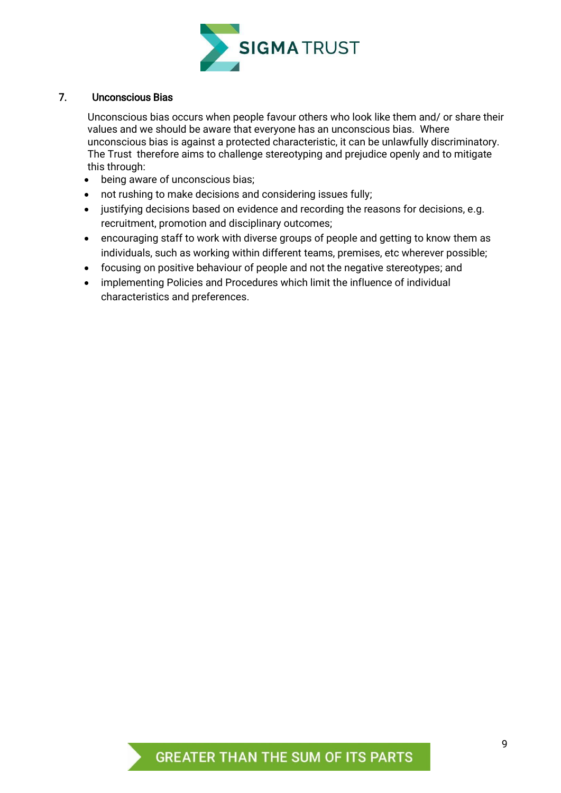

### 7. Unconscious Bias

Unconscious bias occurs when people favour others who look like them and/ or share their values and we should be aware that everyone has an unconscious bias. Where unconscious bias is against a protected characteristic, it can be unlawfully discriminatory. The Trust therefore aims to challenge stereotyping and prejudice openly and to mitigate this through:

- being aware of unconscious bias;
- not rushing to make decisions and considering issues fully;
- justifying decisions based on evidence and recording the reasons for decisions, e.g. recruitment, promotion and disciplinary outcomes;
- encouraging staff to work with diverse groups of people and getting to know them as individuals, such as working within different teams, premises, etc wherever possible;
- focusing on positive behaviour of people and not the negative stereotypes; and
- implementing Policies and Procedures which limit the influence of individual characteristics and preferences.

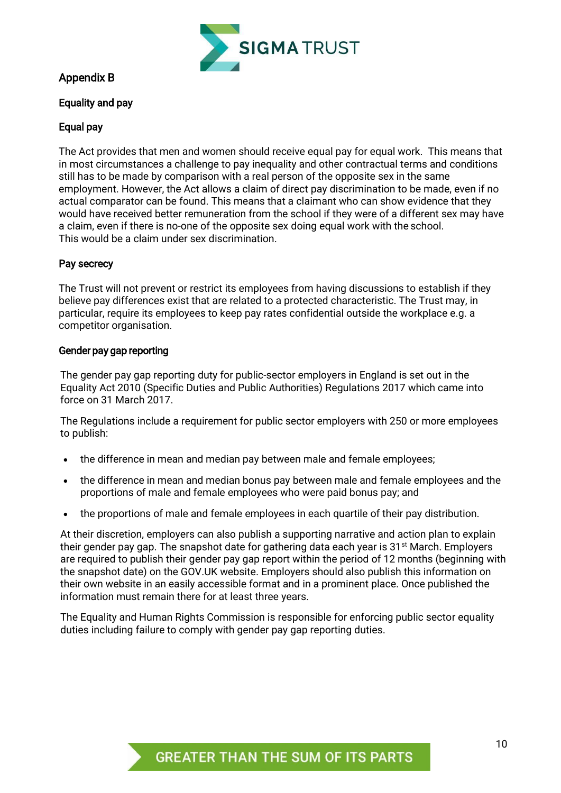

# <span id="page-10-0"></span>Appendix B

# Equality and pay

# Equal pay

The Act provides that men and women should receive equal pay for equal work. This means that in most circumstances a challenge to pay inequality and other contractual terms and conditions still has to be made by comparison with a real person of the opposite sex in the same employment. However, the Act allows a claim of direct pay discrimination to be made, even if no actual comparator can be found. This means that a claimant who can show evidence that they would have received better remuneration from the school if they were of a different sex may have a claim, even if there is no-one of the opposite sex doing equal work with the school. This would be a claim under sex discrimination.

# Pay secrecy

The Trust will not prevent or restrict its employees from having discussions to establish if they believe pay differences exist that are related to a protected characteristic. The Trust may, in particular, require its employees to keep pay rates confidential outside the workplace e.g. a competitor organisation.

#### Gender pay gap reporting

The gender pay gap reporting duty for public-sector employers in England is set out in the Equality Act 2010 (Specific Duties and Public Authorities) Regulations 2017 which came into force on 31 March 2017.

The Regulations include a requirement for public sector employers with 250 or more employees to publish:

- the difference in mean and median pay between male and female employees;
- the difference in mean and median bonus pay between male and female employees and the proportions of male and female employees who were paid bonus pay; and
- the proportions of male and female employees in each quartile of their pay distribution.

At their discretion, employers can also publish a supporting narrative and action plan to explain their gender pay gap. The snapshot date for gathering data each year is  $31<sup>st</sup>$  March. Employers are required to publish their gender pay gap report within the period of 12 months (beginning with the snapshot date) on the GOV.UK website. Employers should also publish this information on their own website in an easily accessible format and in a prominent place. Once published the information must remain there for at least three years.

The Equality and Human Rights Commission is responsible for enforcing public sector equality duties including failure to comply with gender pay gap reporting duties.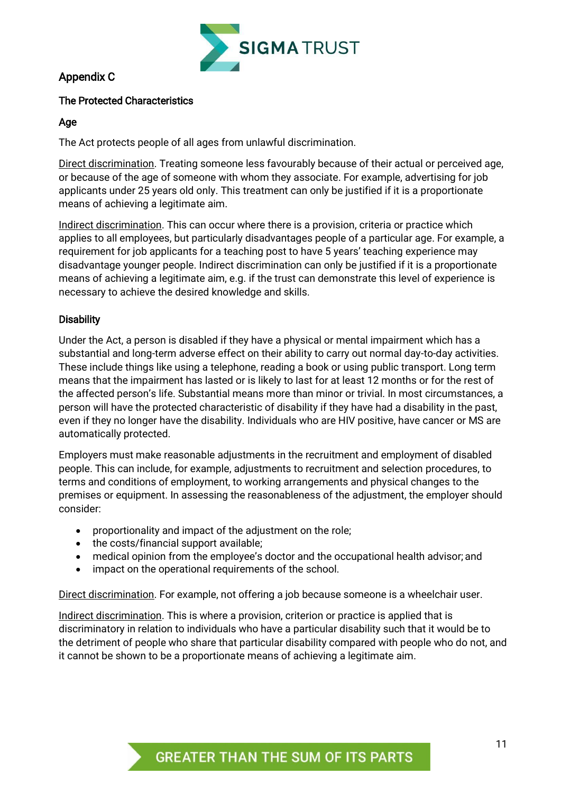

# Appendix C

# The Protected Characteristics

## Age

The Act protects people of all ages from unlawful discrimination.

Direct discrimination. Treating someone less favourably because of their actual or perceived age, or because of the age of someone with whom they associate. For example, advertising for job applicants under 25 years old only. This treatment can only be justified if it is a proportionate means of achieving a legitimate aim.

Indirect discrimination. This can occur where there is a provision, criteria or practice which applies to all employees, but particularly disadvantages people of a particular age. For example, a requirement for job applicants for a teaching post to have 5 years' teaching experience may disadvantage younger people. Indirect discrimination can only be justified if it is a proportionate means of achieving a legitimate aim, e.g. if the trust can demonstrate this level of experience is necessary to achieve the desired knowledge and skills.

# **Disability**

Under the Act, a person is disabled if they have a physical or mental impairment which has a substantial and long-term adverse effect on their ability to carry out normal day-to-day activities. These include things like using a telephone, reading a book or using public transport. Long term means that the impairment has lasted or is likely to last for at least 12 months or for the rest of the affected person's life. Substantial means more than minor or trivial. In most circumstances, a person will have the protected characteristic of disability if they have had a disability in the past, even if they no longer have the disability. Individuals who are HIV positive, have cancer or MS are automatically protected.

Employers must make reasonable adjustments in the recruitment and employment of disabled people. This can include, for example, adjustments to recruitment and selection procedures, to terms and conditions of employment, to working arrangements and physical changes to the premises or equipment. In assessing the reasonableness of the adjustment, the employer should consider:

- proportionality and impact of the adjustment on the role;
- the costs/financial support available;
- medical opinion from the employee's doctor and the occupational health advisor; and
- impact on the operational requirements of the school.

Direct discrimination. For example, not offering a job because someone is a wheelchair user.

Indirect discrimination. This is where a provision, criterion or practice is applied that is discriminatory in relation to individuals who have a particular disability such that it would be to the detriment of people who share that particular disability compared with people who do not, and it cannot be shown to be a proportionate means of achieving a legitimate aim.

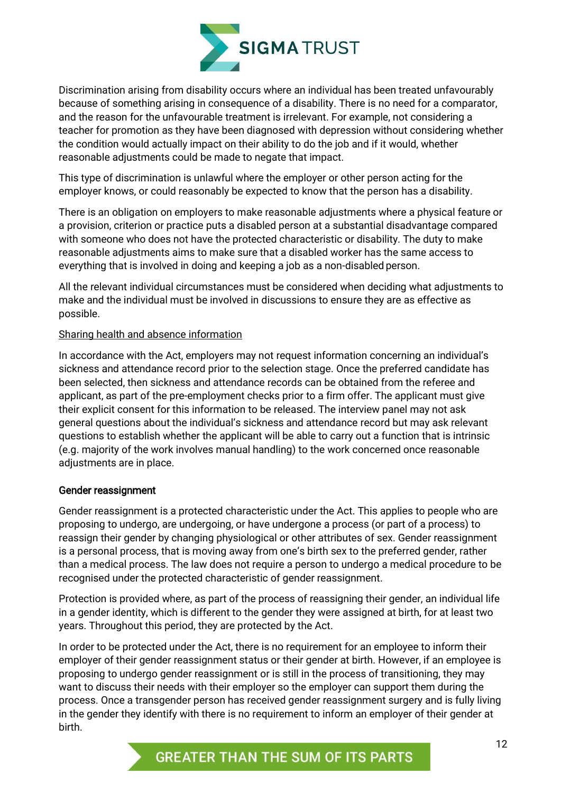

Discrimination arising from disability occurs where an individual has been treated unfavourably because of something arising in consequence of a disability. There is no need for a comparator, and the reason for the unfavourable treatment is irrelevant. For example, not considering a teacher for promotion as they have been diagnosed with depression without considering whether the condition would actually impact on their ability to do the job and if it would, whether reasonable adjustments could be made to negate that impact.

This type of discrimination is unlawful where the employer or other person acting for the employer knows, or could reasonably be expected to know that the person has a disability.

There is an obligation on employers to make reasonable adjustments where a physical feature or a provision, criterion or practice puts a disabled person at a substantial disadvantage compared with someone who does not have the protected characteristic or disability. The duty to make reasonable adjustments aims to make sure that a disabled worker has the same access to everything that is involved in doing and keeping a job as a non-disabled person.

All the relevant individual circumstances must be considered when deciding what adjustments to make and the individual must be involved in discussions to ensure they are as effective as possible.

#### Sharing health and absence information

In accordance with the Act, employers may not request information concerning an individual's sickness and attendance record prior to the selection stage. Once the preferred candidate has been selected, then sickness and attendance records can be obtained from the referee and applicant, as part of the pre-employment checks prior to a firm offer. The applicant must give their explicit consent for this information to be released. The interview panel may not ask general questions about the individual's sickness and attendance record but may ask relevant questions to establish whether the applicant will be able to carry out a function that is intrinsic (e.g. majority of the work involves manual handling) to the work concerned once reasonable adjustments are in place.

#### Gender reassignment

Gender reassignment is a protected characteristic under the Act. This applies to people who are proposing to undergo, are undergoing, or have undergone a process (or part of a process) to reassign their gender by changing physiological or other attributes of sex. Gender reassignment is a personal process, that is moving away from one's birth sex to the preferred gender, rather than a medical process. The law does not require a person to undergo a medical procedure to be recognised under the protected characteristic of gender reassignment.

Protection is provided where, as part of the process of reassigning their gender, an individual life in a gender identity, which is different to the gender they were assigned at birth, for at least two years. Throughout this period, they are protected by the Act.

In order to be protected under the Act, there is no requirement for an employee to inform their employer of their gender reassignment status or their gender at birth. However, if an employee is proposing to undergo gender reassignment or is still in the process of transitioning, they may want to discuss their needs with their employer so the employer can support them during the process. Once a transgender person has received gender reassignment surgery and is fully living in the gender they identify with there is no requirement to inform an employer of their gender at birth.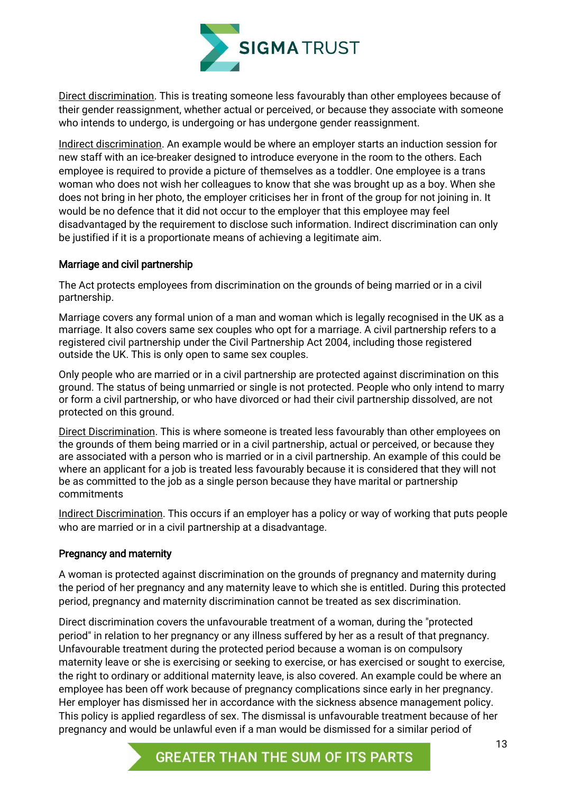

Direct discrimination. This is treating someone less favourably than other employees because of their gender reassignment, whether actual or perceived, or because they associate with someone who intends to undergo, is undergoing or has undergone gender reassignment.

Indirect discrimination. An example would be where an employer starts an induction session for new staff with an ice-breaker designed to introduce everyone in the room to the others. Each employee is required to provide a picture of themselves as a toddler. One employee is a trans woman who does not wish her colleagues to know that she was brought up as a boy. When she does not bring in her photo, the employer criticises her in front of the group for not joining in. It would be no defence that it did not occur to the employer that this employee may feel disadvantaged by the requirement to disclose such information. Indirect discrimination can only be justified if it is a proportionate means of achieving a legitimate aim.

# Marriage and civil partnership

The Act protects employees from discrimination on the grounds of being married or in a civil partnership.

Marriage covers any formal union of a man and woman which is legally recognised in the UK as a marriage. It also covers same sex couples who opt for a marriage. A civil partnership refers to a registered civil partnership under the Civil Partnership Act 2004, including those registered outside the UK. This is only open to same sex couples.

Only people who are married or in a civil partnership are protected against discrimination on this ground. The status of being unmarried or single is not protected. People who only intend to marry or form a civil partnership, or who have divorced or had their civil partnership dissolved, are not protected on this ground.

Direct Discrimination. This is where someone is treated less favourably than other employees on the grounds of them being married or in a civil partnership, actual or perceived, or because they are associated with a person who is married or in a civil partnership. An example of this could be where an applicant for a job is treated less favourably because it is considered that they will not be as committed to the job as a single person because they have marital or partnership commitments

Indirect Discrimination. This occurs if an employer has a policy or way of working that puts people who are married or in a civil partnership at a disadvantage.

# Pregnancy and maternity

A woman is protected against discrimination on the grounds of pregnancy and maternity during the period of her pregnancy and any maternity leave to which she is entitled. During this protected period, pregnancy and maternity discrimination cannot be treated as sex discrimination.

Direct discrimination covers the unfavourable treatment of a woman, during the "protected period" in relation to her pregnancy or any illness suffered by her as a result of that pregnancy. Unfavourable treatment during the protected period because a woman is on compulsory maternity leave or she is exercising or seeking to exercise, or has exercised or sought to exercise, the right to ordinary or additional maternity leave, is also covered. An example could be where an employee has been off work because of pregnancy complications since early in her pregnancy. Her employer has dismissed her in accordance with the sickness absence management policy. This policy is applied regardless of sex. The dismissal is unfavourable treatment because of her pregnancy and would be unlawful even if a man would be dismissed for a similar period of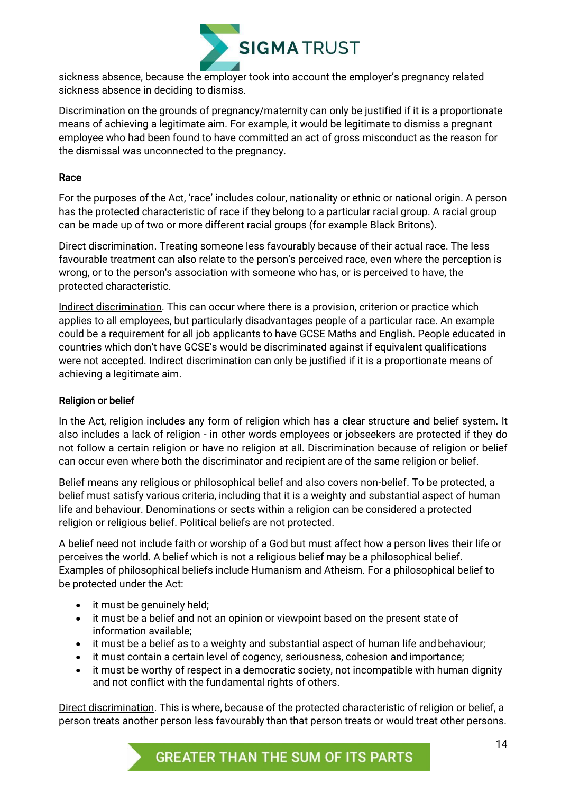

sickness absence, because the employer took into account the employer's pregnancy related sickness absence in deciding to dismiss.

Discrimination on the grounds of pregnancy/maternity can only be justified if it is a proportionate means of achieving a legitimate aim. For example, it would be legitimate to dismiss a pregnant employee who had been found to have committed an act of gross misconduct as the reason for the dismissal was unconnected to the pregnancy.

# Race

For the purposes of the Act, 'race' includes colour, nationality or ethnic or national origin. A person has the protected characteristic of race if they belong to a particular racial group. A racial group can be made up of two or more different racial groups (for example Black Britons).

Direct discrimination. Treating someone less favourably because of their actual race. The less favourable treatment can also relate to the person's perceived race, even where the perception is wrong, or to the person's association with someone who has, or is perceived to have, the protected characteristic.

Indirect discrimination. This can occur where there is a provision, criterion or practice which applies to all employees, but particularly disadvantages people of a particular race. An example could be a requirement for all job applicants to have GCSE Maths and English. People educated in countries which don't have GCSE's would be discriminated against if equivalent qualifications were not accepted. Indirect discrimination can only be justified if it is a proportionate means of achieving a legitimate aim.

# Religion or belief

In the Act, religion includes any form of religion which has a clear structure and belief system. It also includes a lack of religion - in other words employees or jobseekers are protected if they do not follow a certain religion or have no religion at all. Discrimination because of religion or belief can occur even where both the discriminator and recipient are of the same religion or belief.

Belief means any religious or philosophical belief and also covers non-belief. To be protected, a belief must satisfy various criteria, including that it is a weighty and substantial aspect of human life and behaviour. Denominations or sects within a religion can be considered a protected religion or religious belief. Political beliefs are not protected.

A belief need not include faith or worship of a God but must affect how a person lives their life or perceives the world. A belief which is not a religious belief may be a philosophical belief. Examples of philosophical beliefs include Humanism and Atheism. For a philosophical belief to be protected under the Act:

- it must be genuinely held:
- it must be a belief and not an opinion or viewpoint based on the present state of information available;
- it must be a belief as to a weighty and substantial aspect of human life and behaviour;
- it must contain a certain level of cogency, seriousness, cohesion and importance;
- it must be worthy of respect in a democratic society, not incompatible with human dignity and not conflict with the fundamental rights of others.

Direct discrimination. This is where, because of the protected characteristic of religion or belief, a person treats another person less favourably than that person treats or would treat other persons.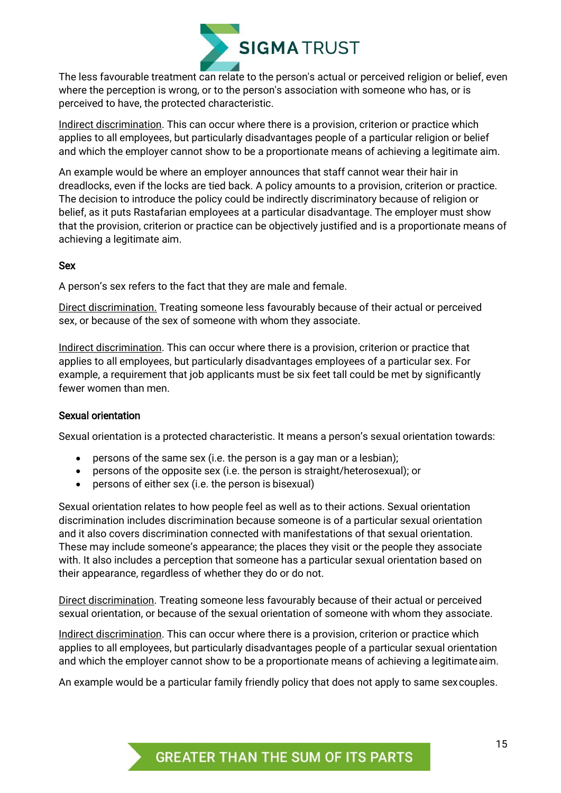

The less favourable treatment can relate to the person's actual or perceived religion or belief, even where the perception is wrong, or to the person's association with someone who has, or is perceived to have, the protected characteristic.

Indirect discrimination. This can occur where there is a provision, criterion or practice which applies to all employees, but particularly disadvantages people of a particular religion or belief and which the employer cannot show to be a proportionate means of achieving a legitimate aim.

An example would be where an employer announces that staff cannot wear their hair in dreadlocks, even if the locks are tied back. A policy amounts to a provision, criterion or practice. The decision to introduce the policy could be indirectly discriminatory because of religion or belief, as it puts Rastafarian employees at a particular disadvantage. The employer must show that the provision, criterion or practice can be objectively justified and is a proportionate means of achieving a legitimate aim.

#### Sex

A person's sex refers to the fact that they are male and female.

Direct discrimination. Treating someone less favourably because of their actual or perceived sex, or because of the sex of someone with whom they associate.

Indirect discrimination. This can occur where there is a provision, criterion or practice that applies to all employees, but particularly disadvantages employees of a particular sex. For example, a requirement that job applicants must be six feet tall could be met by significantly fewer women than men.

# Sexual orientation

Sexual orientation is a protected characteristic. It means a person's sexual orientation towards:

- persons of the same sex (i.e. the person is a gay man or a lesbian);
- persons of the opposite sex (i.e. the person is straight/heterosexual); or
- persons of either sex (i.e. the person is bisexual)

Sexual orientation relates to how people feel as well as to their actions. Sexual orientation discrimination includes discrimination because someone is of a particular sexual orientation and it also covers discrimination connected with manifestations of that sexual orientation. These may include someone's appearance; the places they visit or the people they associate with. It also includes a perception that someone has a particular sexual orientation based on their appearance, regardless of whether they do or do not.

<span id="page-15-0"></span>Direct discrimination. Treating someone less favourably because of their actual or perceived sexual orientation, or because of the sexual orientation of someone with whom they associate.

Indirect discrimination. This can occur where there is a provision, criterion or practice which applies to all employees, but particularly disadvantages people of a particular sexual orientation and which the employer cannot show to be a proportionate means of achieving a legitimateaim.

An example would be a particular family friendly policy that does not apply to same sexcouples.